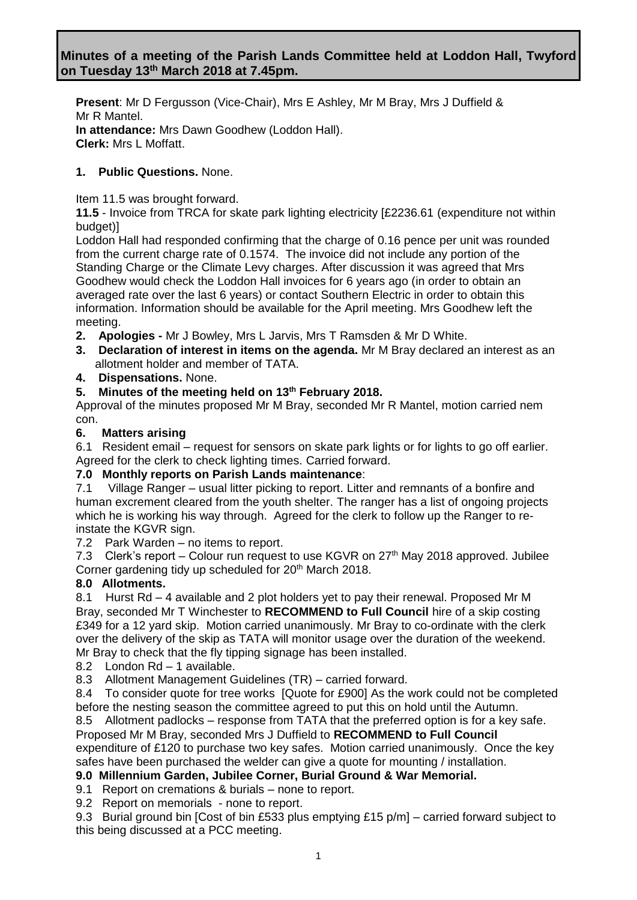**Present**: Mr D Fergusson (Vice-Chair), Mrs E Ashley, Mr M Bray, Mrs J Duffield & Mr R Mantel. **In attendance:** Mrs Dawn Goodhew (Loddon Hall). **Clerk:** Mrs L Moffatt.

# **1. Public Questions.** None.

Item 11.5 was brought forward.

**11.5** - Invoice from TRCA for skate park lighting electricity [£2236.61 (expenditure not within budget)]

Loddon Hall had responded confirming that the charge of 0.16 pence per unit was rounded from the current charge rate of 0.1574. The invoice did not include any portion of the Standing Charge or the Climate Levy charges. After discussion it was agreed that Mrs Goodhew would check the Loddon Hall invoices for 6 years ago (in order to obtain an averaged rate over the last 6 years) or contact Southern Electric in order to obtain this information. Information should be available for the April meeting. Mrs Goodhew left the meeting.

- **2. Apologies -** Mr J Bowley, Mrs L Jarvis, Mrs T Ramsden & Mr D White.
- **3. Declaration of interest in items on the agenda.** Mr M Bray declared an interest as an allotment holder and member of TATA.
- **4. Dispensations.** None.

### **5. Minutes of the meeting held on 13th February 2018.**

Approval of the minutes proposed Mr M Bray, seconded Mr R Mantel, motion carried nem con.

### **6. Matters arising**

6.1Resident email – request for sensors on skate park lights or for lights to go off earlier. Agreed for the clerk to check lighting times. Carried forward.

#### **7.0 Monthly reports on Parish Lands maintenance**:

7.1 Village Ranger – usual litter picking to report. Litter and remnants of a bonfire and human excrement cleared from the youth shelter. The ranger has a list of ongoing projects which he is working his way through. Agreed for the clerk to follow up the Ranger to reinstate the KGVR sign.

7.2 Park Warden – no items to report.

7.3 Clerk's report – Colour run request to use KGVR on  $27<sup>th</sup>$  May 2018 approved. Jubilee Corner gardening tidy up scheduled for 20<sup>th</sup> March 2018.

## **8.0 Allotments.**

8.1 Hurst Rd – 4 available and 2 plot holders yet to pay their renewal. Proposed Mr M Bray, seconded Mr T Winchester to **RECOMMEND to Full Council** hire of a skip costing £349 for a 12 yard skip. Motion carried unanimously. Mr Bray to co-ordinate with the clerk over the delivery of the skip as TATA will monitor usage over the duration of the weekend. Mr Bray to check that the fly tipping signage has been installed.

8.2 London Rd – 1 available.

8.3 Allotment Management Guidelines (TR) – carried forward.

8.4 To consider quote for tree works [Quote for £900] As the work could not be completed before the nesting season the committee agreed to put this on hold until the Autumn.

8.5 Allotment padlocks – response from TATA that the preferred option is for a key safe. Proposed Mr M Bray, seconded Mrs J Duffield to **RECOMMEND to Full Council**

expenditure of £120 to purchase two key safes. Motion carried unanimously. Once the key safes have been purchased the welder can give a quote for mounting / installation.

## **9.0 Millennium Garden, Jubilee Corner, Burial Ground & War Memorial.**

9.1 Report on cremations & burials – none to report.

9.2 Report on memorials - none to report.

9.3 Burial ground bin [Cost of bin £533 plus emptying £15 p/m] – carried forward subject to this being discussed at a PCC meeting.